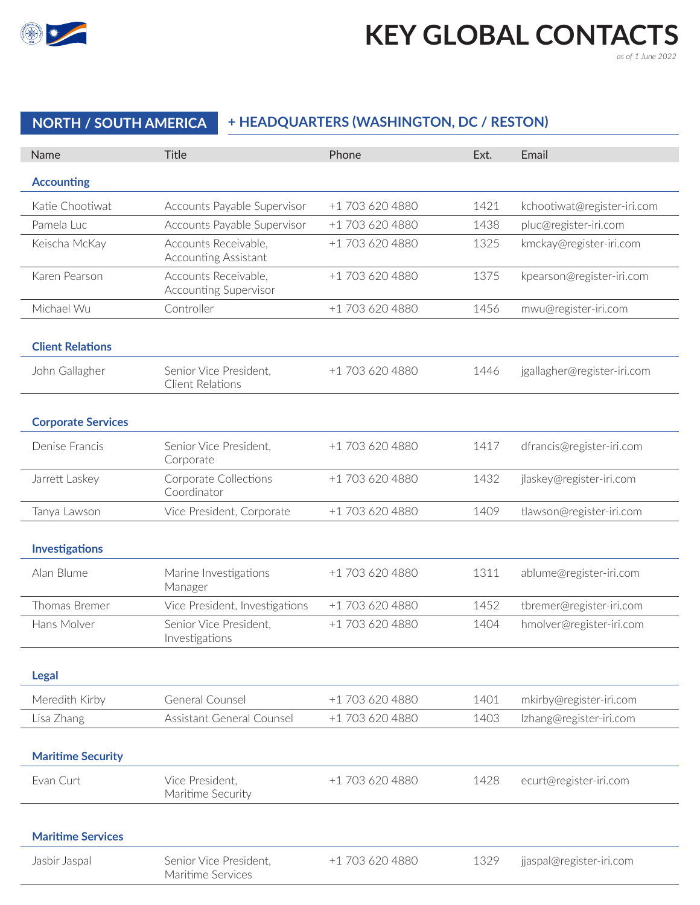

# **KEY GLOBAL CONTACTS**

*as of 1 June 2022*

# **NORTH / SOUTH AMERICA + HEADQUARTERS (WASHINGTON, DC / RESTON)**

| Name                      | <b>Title</b>                                        | Phone           | Ext. | Email                       |
|---------------------------|-----------------------------------------------------|-----------------|------|-----------------------------|
| <b>Accounting</b>         |                                                     |                 |      |                             |
| Katie Chootiwat           | Accounts Payable Supervisor                         | +1 703 620 4880 | 1421 | kchootiwat@register-iri.com |
| Pamela Luc                | Accounts Payable Supervisor                         | +1 703 620 4880 | 1438 | pluc@register-iri.com       |
| Keischa McKay             | Accounts Receivable,<br><b>Accounting Assistant</b> | +1 703 620 4880 | 1325 | kmckay@register-iri.com     |
| Karen Pearson             | Accounts Receivable,<br>Accounting Supervisor       | +1 703 620 4880 | 1375 | kpearson@register-iri.com   |
| Michael Wu                | Controller                                          | +1 703 620 4880 | 1456 | mwu@register-iri.com        |
| <b>Client Relations</b>   |                                                     |                 |      |                             |
| John Gallagher            | Senior Vice President,<br>Client Relations          | +1 703 620 4880 | 1446 | jgallagher@register-iri.com |
| <b>Corporate Services</b> |                                                     |                 |      |                             |
| Denise Francis            | Senior Vice President,<br>Corporate                 | +1 703 620 4880 | 1417 | dfrancis@register-iri.com   |
| Jarrett Laskey            | Corporate Collections<br>Coordinator                | +1 703 620 4880 | 1432 | jlaskey@register-iri.com    |
| Tanya Lawson              | Vice President, Corporate                           | +1 703 620 4880 | 1409 | tlawson@register-iri.com    |
| <b>Investigations</b>     |                                                     |                 |      |                             |
| Alan Blume                | Marine Investigations<br>Manager                    | +1 703 620 4880 | 1311 | ablume@register-iri.com     |
| Thomas Bremer             | Vice President, Investigations                      | +1 703 620 4880 | 1452 | tbremer@register-iri.com    |
| Hans Molver               | Senior Vice President,<br>Investigations            | +1 703 620 4880 | 1404 | hmolver@register-iri.com    |
| <b>Legal</b>              |                                                     |                 |      |                             |
| Meredith Kirby            | General Counsel                                     | +1 703 620 4880 | 1401 | mkirby@register-iri.com     |
| Lisa Zhang                | <b>Assistant General Counsel</b>                    | +1 703 620 4880 | 1403 | Izhang@register-iri.com     |
| <b>Maritime Security</b>  |                                                     |                 |      |                             |
| Evan Curt                 | Vice President,<br>Maritime Security                | +1 703 620 4880 | 1428 | ecurt@register-iri.com      |
| <b>Maritime Services</b>  |                                                     |                 |      |                             |
| Jasbir Jaspal             | Senior Vice President,<br>Maritime Services         | +1 703 620 4880 | 1329 | jjaspal@register-iri.com    |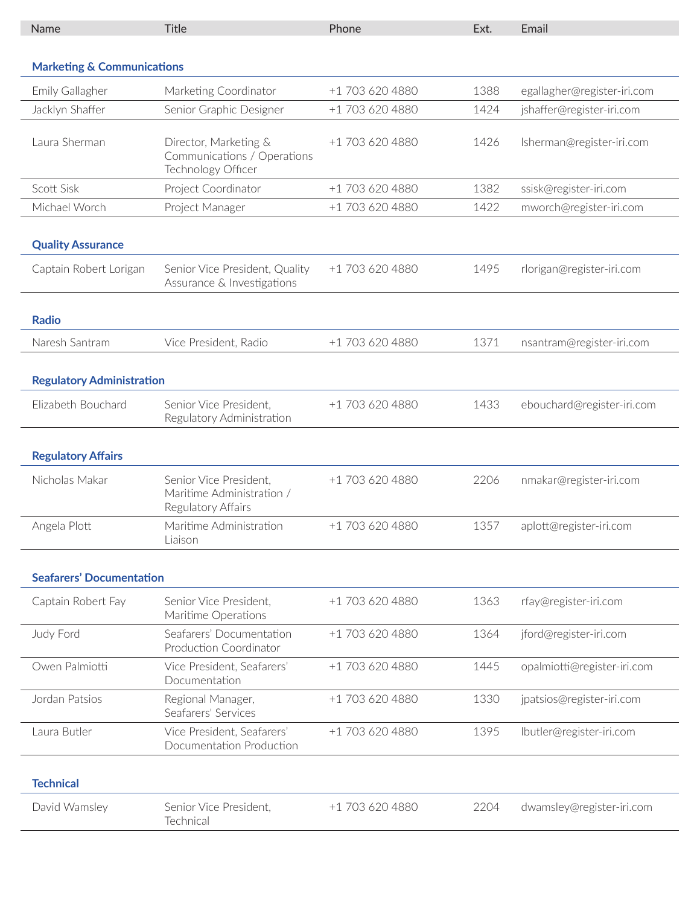| Name                                  | <b>Title</b>                                                               | Phone           | Ext. | Email                       |  |  |
|---------------------------------------|----------------------------------------------------------------------------|-----------------|------|-----------------------------|--|--|
|                                       |                                                                            |                 |      |                             |  |  |
| <b>Marketing &amp; Communications</b> |                                                                            |                 |      |                             |  |  |
| Emily Gallagher                       | Marketing Coordinator                                                      | +1 703 620 4880 | 1388 | egallagher@register-iri.com |  |  |
| Jacklyn Shaffer                       | Senior Graphic Designer                                                    | +1 703 620 4880 | 1424 | jshaffer@register-iri.com   |  |  |
| Laura Sherman                         | Director, Marketing &<br>Communications / Operations<br>Technology Officer | +1 703 620 4880 | 1426 | Isherman@register-iri.com   |  |  |
| Scott Sisk                            | Project Coordinator                                                        | +1 703 620 4880 | 1382 | ssisk@register-iri.com      |  |  |
| Michael Worch                         | Project Manager                                                            | +1 703 620 4880 | 1422 | mworch@register-iri.com     |  |  |
| <b>Quality Assurance</b>              |                                                                            |                 |      |                             |  |  |
| Captain Robert Lorigan                | Senior Vice President, Quality<br>Assurance & Investigations               | +1 703 620 4880 | 1495 | rlorigan@register-iri.com   |  |  |
| <b>Radio</b>                          |                                                                            |                 |      |                             |  |  |
| Naresh Santram                        | Vice President, Radio                                                      | +1 703 620 4880 | 1371 | nsantram@register-iri.com   |  |  |
| <b>Regulatory Administration</b>      |                                                                            |                 |      |                             |  |  |
| Elizabeth Bouchard                    | Senior Vice President,<br>Regulatory Administration                        | +1 703 620 4880 | 1433 | ebouchard@register-iri.com  |  |  |
| <b>Regulatory Affairs</b>             |                                                                            |                 |      |                             |  |  |
| Nicholas Makar                        | Senior Vice President,<br>Maritime Administration /<br>Regulatory Affairs  | +1 703 620 4880 | 2206 | nmakar@register-iri.com     |  |  |
| Angela Plott                          | Maritime Administration<br>Liaison                                         | +1 703 620 4880 | 1357 | aplott@register-iri.com     |  |  |
| <b>Seafarers' Documentation</b>       |                                                                            |                 |      |                             |  |  |
| Captain Robert Fay                    | Senior Vice President,<br>Maritime Operations                              | +1 703 620 4880 | 1363 | rfay@register-iri.com       |  |  |
| Judy Ford                             | Seafarers' Documentation<br>Production Coordinator                         | +1 703 620 4880 | 1364 | jford@register-iri.com      |  |  |
| Owen Palmiotti                        | Vice President, Seafarers'<br>Documentation                                | +1 703 620 4880 | 1445 | opalmiotti@register-iri.com |  |  |
| Jordan Patsios                        | Regional Manager,<br>Seafarers' Services                                   | +1 703 620 4880 | 1330 | jpatsios@register-iri.com   |  |  |
| Laura Butler                          | Vice President, Seafarers'<br>Documentation Production                     | +1 703 620 4880 | 1395 | lbutler@register-iri.com    |  |  |
| <b>Technical</b>                      |                                                                            |                 |      |                             |  |  |
| David Wamsley                         | Senior Vice President,<br>Technical                                        | +1 703 620 4880 | 2204 | dwamsley@register-iri.com   |  |  |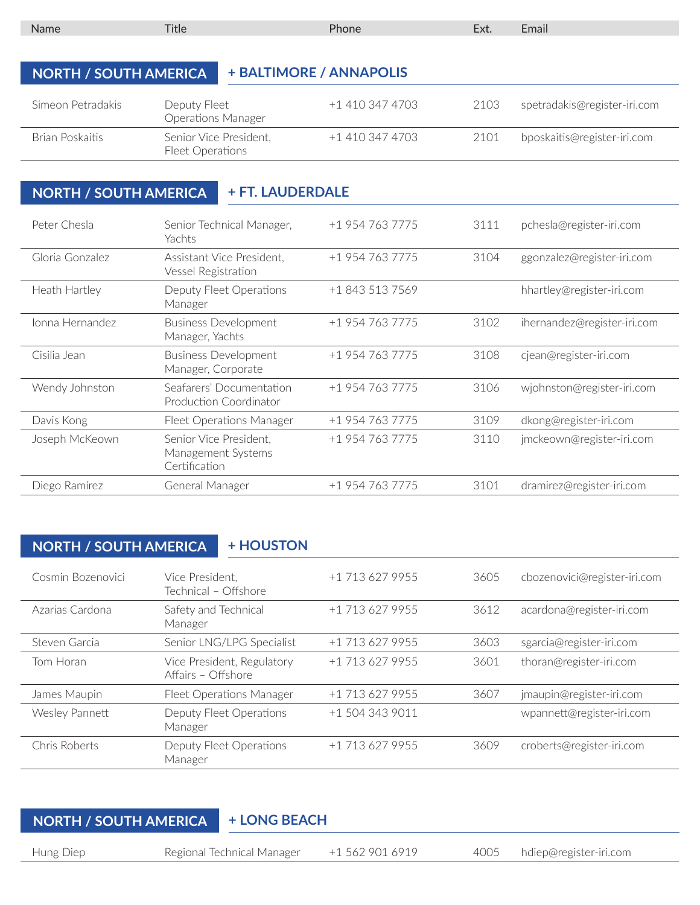| Name                                                    | <b>Title</b>                                               | Phone                   | Ext. | Email                        |  |
|---------------------------------------------------------|------------------------------------------------------------|-------------------------|------|------------------------------|--|
|                                                         |                                                            |                         |      |                              |  |
| <b>NORTH / SOUTH AMERICA</b>                            |                                                            | + BALTIMORE / ANNAPOLIS |      |                              |  |
| Simeon Petradakis                                       | Deputy Fleet<br><b>Operations Manager</b>                  | +1 410 347 4703         | 2103 | spetradakis@register-iri.com |  |
| Brian Poskaitis                                         | Senior Vice President,<br>Fleet Operations                 | $+1$ 410 347 4703       | 2101 | bposkaitis@register-iri.com  |  |
|                                                         |                                                            |                         |      |                              |  |
| <b>+ FT. LAUDERDALE</b><br><b>NORTH / SOUTH AMERICA</b> |                                                            |                         |      |                              |  |
| Peter Chesla                                            | Senior Technical Manager,<br>Yachts                        | +1 954 763 7775         | 3111 | pchesla@register-iri.com     |  |
| Gloria Gonzalez                                         | Assistant Vice President,<br>A / Lee all Deartaillead from | +1 954 763 7775         | 3104 | ggonzalez@register-iri.com   |  |

|                 | Vessel Registration                                           |                 |      |                             |
|-----------------|---------------------------------------------------------------|-----------------|------|-----------------------------|
| Heath Hartley   | Deputy Fleet Operations<br>Manager                            | +1 843 513 7569 |      | hhartley@register-iri.com   |
| Jonna Hernandez | <b>Business Development</b><br>Manager, Yachts                | +1 954 763 7775 | 3102 | ihernandez@register-iri.com |
| Cisilia Jean    | <b>Business Development</b><br>Manager, Corporate             | +1 954 763 7775 | 3108 | cjean@register-iri.com      |
| Wendy Johnston  | Seafarers' Documentation<br>Production Coordinator            | +1 954 763 7775 | 3106 | wjohnston@register-iri.com  |
| Davis Kong      | Fleet Operations Manager                                      | +1 954 763 7775 | 3109 | dkong@register-iri.com      |
| Joseph McKeown  | Senior Vice President,<br>Management Systems<br>Certification | +1 954 763 7775 | 3110 | jmckeown@register-iri.com   |
| Diego Ramírez   | General Manager                                               | +1 954 763 7775 | 3101 | dramirez@register-iri.com   |
|                 |                                                               |                 |      |                             |

### **NORTH / SOUTH AMERICA | + HOUSTON**

| Cosmin Bozenovici | Vice President.<br>Technical - Offshore          | +1 713 627 9955 | 3605 | cbozenovici@register-iri.com |
|-------------------|--------------------------------------------------|-----------------|------|------------------------------|
| Azarias Cardona   | Safety and Technical<br>Manager                  | +1 713 627 9955 | 3612 | acardona@register-iri.com    |
| Steven Garcia     | Senior LNG/LPG Specialist                        | +1 713 627 9955 | 3603 | sgarcia@register-iri.com     |
| Tom Horan         | Vice President, Regulatory<br>Affairs - Offshore | +1 713 627 9955 | 3601 | thoran@register-iri.com      |
| James Maupin      | Fleet Operations Manager                         | +1 713 627 9955 | 3607 | jmaupin@register-iri.com     |
| Wesley Pannett    | Deputy Fleet Operations<br>Manager               | +1 504 343 9011 |      | wpannett@register-iri.com    |
| Chris Roberts     | Deputy Fleet Operations<br>Manager               | +1 713 627 9955 | 3609 | croberts@register-iri.com    |

# **NORTH / SOUTH AMERICA + LONG BEACH**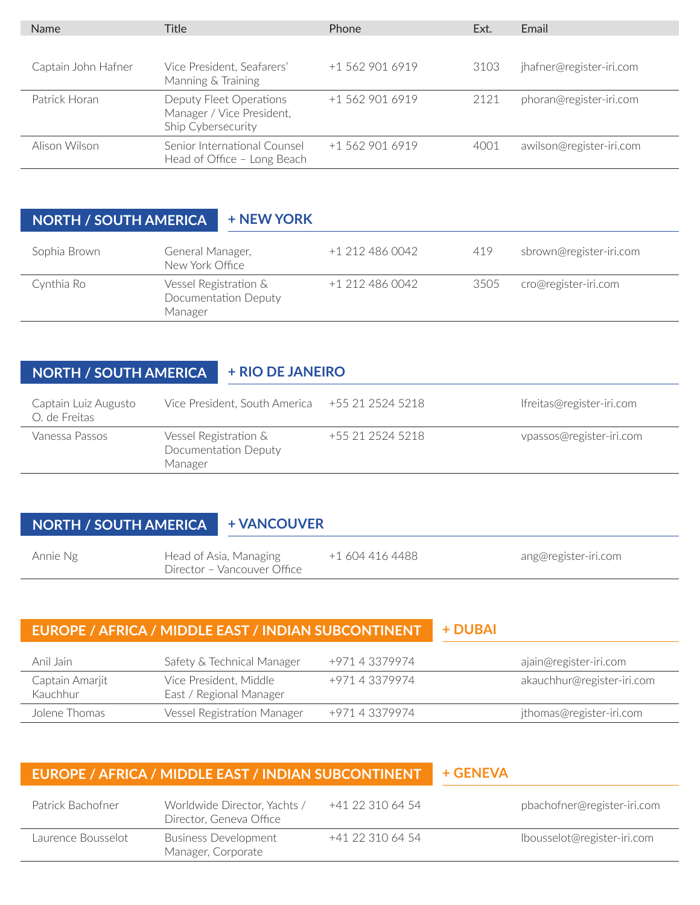| <b>Name</b>         | <b>Title</b>                                                               | Phone           | Ext. | Email                    |
|---------------------|----------------------------------------------------------------------------|-----------------|------|--------------------------|
| Captain John Hafner | Vice President, Seafarers'<br>Manning & Training                           | +1 562 901 6919 | 3103 | jhafner@register-iri.com |
| Patrick Horan       | Deputy Fleet Operations<br>Manager / Vice President,<br>Ship Cybersecurity | +1 562 901 6919 | 2121 | phoran@register-iri.com  |
| Alison Wilson       | Senior International Counsel<br>Head of Office - Long Beach                | +1 562 901 6919 | 4001 | awilson@register-iri.com |

#### **NORTH / SOUTH AMERICA + NEW YORK**

| Sophia Brown | General Manager,<br>New York Office                      | +1 212 486 0042 | 419  | sbrown@register-iri.com |
|--------------|----------------------------------------------------------|-----------------|------|-------------------------|
| Cynthia Ro   | Vessel Registration &<br>Documentation Deputy<br>Manager | +1 212 486 0042 | 3505 | cro@register-iri.com    |

## **NORTH / SOUTH AMERICA + RIO DE JANEIRO**

| Captain Luiz Augusto<br>O. de Freitas | Vice President, South America +55 21 2524 5218           |                  | lfreitas@register-iri.com |
|---------------------------------------|----------------------------------------------------------|------------------|---------------------------|
| Vanessa Passos                        | Vessel Registration &<br>Documentation Deputy<br>Manager | +55 21 2524 5218 | vpassos@register-iri.com  |

#### **NORTH / SOUTH AMERICA + VANCOUVER**

| Annie Ng | Head of Asia, Managing<br>Director – Vancouver Office | +1 604 416 4488 | ang@register-iri.com |
|----------|-------------------------------------------------------|-----------------|----------------------|
|          |                                                       |                 |                      |

#### **EUROPE / AFRICA / MIDDLE EAST / INDIAN SUBCONTINENT + DUBAI**

| Anil Jain                   | Safety & Technical Manager                        | +971 4 3379974 | ajain@register-iri.com     |
|-----------------------------|---------------------------------------------------|----------------|----------------------------|
| Captain Amarjit<br>Kauchhur | Vice President, Middle<br>East / Regional Manager | +971 4 3379974 | akauchhur@register-iri.com |
| Jolene Thomas               | Vessel Registration Manager                       | +971 4 3379974 | jthomas@register-iri.com   |

| EUROPE / AFRICA / MIDDLE EAST / INDIAN SUBCONTINENT |                                                         |                  | + GENEVA                    |
|-----------------------------------------------------|---------------------------------------------------------|------------------|-----------------------------|
| Patrick Bachofner                                   | Worldwide Director, Yachts /<br>Director, Geneva Office | +41 22 310 64 54 | pbachofner@register-iri.com |
| Laurence Bousselot                                  | <b>Business Development</b><br>Manager, Corporate       | +41 22 310 64 54 | lbousselot@register-iri.com |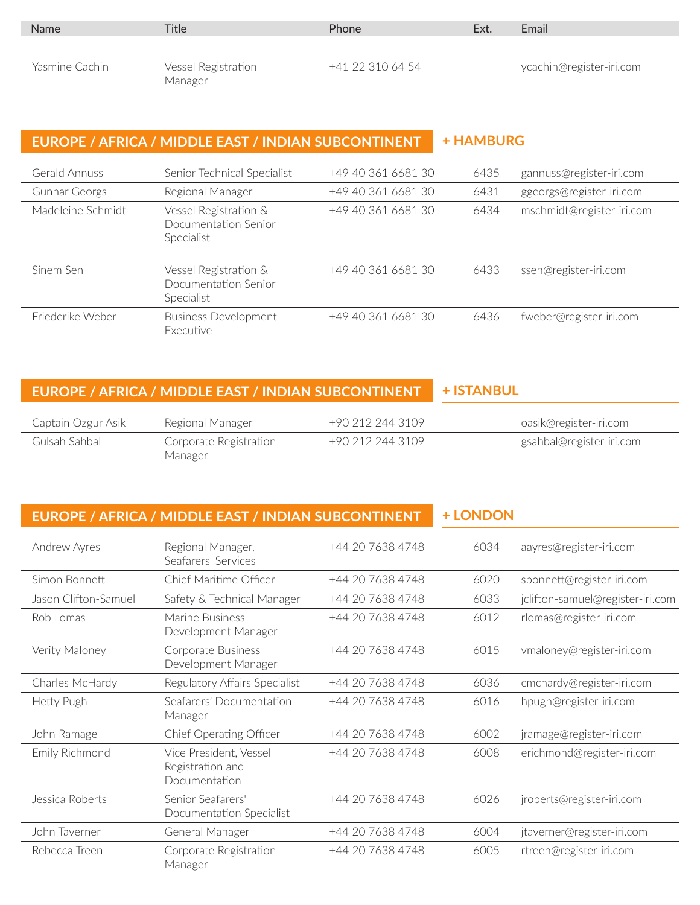| <b>Name</b>    | <b>Title</b>                   | <b>Phone</b>     | Ext. | Email                    |
|----------------|--------------------------------|------------------|------|--------------------------|
| Yasmine Cachin | Vessel Registration<br>Manager | +41 22 310 64 54 |      | ycachin@register-iri.com |

### **EUROPE / AFRICA / MIDDLE EAST / INDIAN SUBCONTINENT + HAMBURG**

| Gerald Annuss        | Senior Technical Specialist                                 | +49 40 361 6681 30 | 6435 | gannuss@register-iri.com  |
|----------------------|-------------------------------------------------------------|--------------------|------|---------------------------|
| <b>Gunnar Georgs</b> | Regional Manager                                            | +49 40 361 6681 30 | 6431 | ggeorgs@register-iri.com  |
| Madeleine Schmidt    | Vessel Registration &<br>Documentation Senior<br>Specialist | +49 40 361 6681 30 | 6434 | mschmidt@register-iri.com |
| Sinem Sen            | Vessel Registration &<br>Documentation Senior<br>Specialist | +49 40 361 6681 30 | 6433 | ssen@register-iri.com     |
| Friederike Weber     | <b>Business Development</b><br><b>Executive</b>             | +49 40 361 6681 30 | 6436 | fweber@register-iri.com   |

#### **EUROPE / AFRICA / MIDDLE EAST / INDIAN SUBCONTINENT + ISTANBUL**

| Captain Ozgur Asik | Regional Manager                  | +90 212 244 3109 | oasik@register-iri.com   |
|--------------------|-----------------------------------|------------------|--------------------------|
| Gulsah Sahbal      | Corporate Registration<br>Manager | +90 212 244 3109 | gsahbal@register-iri.com |

#### **EUROPE / AFRICA / MIDDLE EAST / INDIAN SUBCONTINENT + LONDON**

| Andrew Ayres         | Regional Manager,<br>Seafarers' Services                    | +44 20 7638 4748 | 6034 | aayres@register-iri.com          |
|----------------------|-------------------------------------------------------------|------------------|------|----------------------------------|
| Simon Bonnett        | Chief Maritime Officer                                      | +44 20 7638 4748 | 6020 | sbonnett@register-iri.com        |
| Jason Clifton-Samuel | Safety & Technical Manager                                  | +44 20 7638 4748 | 6033 | jclifton-samuel@register-iri.com |
| Rob Lomas            | Marine Business<br>Development Manager                      | +44 20 7638 4748 | 6012 | rlomas@register-iri.com          |
| Verity Maloney       | Corporate Business<br>Development Manager                   | +44 20 7638 4748 | 6015 | vmaloney@register-iri.com        |
| Charles McHardy      | Regulatory Affairs Specialist                               | +44 20 7638 4748 | 6036 | cmchardy@register-iri.com        |
| Hetty Pugh           | Seafarers' Documentation<br>Manager                         | +44 20 7638 4748 | 6016 | hpugh@register-iri.com           |
| John Ramage          | Chief Operating Officer                                     | +44 20 7638 4748 | 6002 | jramage@register-iri.com         |
| Emily Richmond       | Vice President, Vessel<br>Registration and<br>Documentation | +44 20 7638 4748 | 6008 | erichmond@register-iri.com       |
| Jessica Roberts      | Senior Seafarers'<br>Documentation Specialist               | +44 20 7638 4748 | 6026 | jroberts@register-iri.com        |
| John Taverner        | General Manager                                             | +44 20 7638 4748 | 6004 | jtaverner@register-iri.com       |
| Rebecca Treen        | Corporate Registration<br>Manager                           | +44 20 7638 4748 | 6005 | rtreen@register-iri.com          |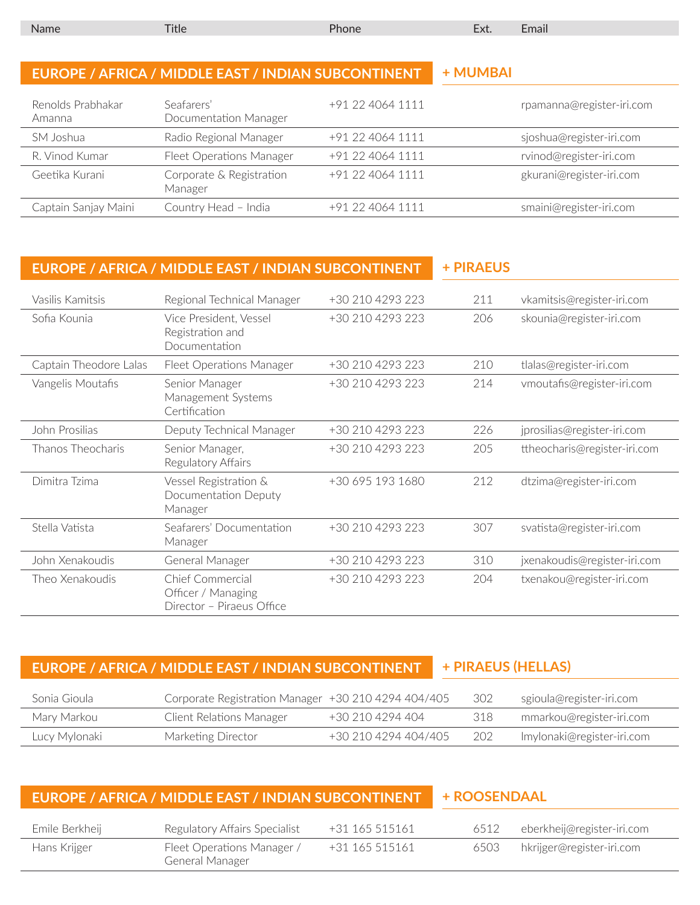| <b>Name</b> |  | LHall - |
|-------------|--|---------|
|             |  |         |

|                             | EUROPE / AFRICA / MIDDLE EAST / INDIAN SUBCONTINENT | + MUMBAI         |                           |
|-----------------------------|-----------------------------------------------------|------------------|---------------------------|
| Renolds Prabhakar<br>Amanna | Seafarers'<br>Documentation Manager                 | +91 22 4064 1111 | rpamanna@register-iri.com |
| SM Joshua                   | Radio Regional Manager                              | +91 22 4064 1111 | sjoshua@register-iri.com  |
| R. Vinod Kumar              | Fleet Operations Manager                            | +91 22 4064 1111 | rvinod@register-iri.com   |
| Geetika Kurani              | Corporate & Registration<br>Manager                 | +91 22 4064 1111 | gkurani@register-iri.com  |
| Captain Sanjay Maini        | Country Head - India                                | +91 22 4064 1111 | smaini@register-iri.com   |
|                             |                                                     |                  |                           |

|                        | EUROPE / AFRICA / MIDDLE EAST / INDIAN SUBCONTINENT                 | + PIRAEUS        |     |                              |
|------------------------|---------------------------------------------------------------------|------------------|-----|------------------------------|
| Vasilis Kamitsis       | Regional Technical Manager                                          | +30 210 4293 223 | 211 | vkamitsis@register-iri.com   |
| Sofia Kounia           | Vice President, Vessel<br>Registration and<br>Documentation         | +30 210 4293 223 | 206 | skounia@register-iri.com     |
| Captain Theodore Lalas | Fleet Operations Manager                                            | +30 210 4293 223 | 210 | tlalas@register-iri.com      |
| Vangelis Moutafis      | Senior Manager<br>Management Systems<br>Certification               | +30 210 4293 223 | 214 | vmoutafis@register-iri.com   |
| John Prosilias         | Deputy Technical Manager                                            | +30 210 4293 223 | 226 | jprosilias@register-iri.com  |
| Thanos Theocharis      | Senior Manager,<br>Regulatory Affairs                               | +30 210 4293 223 | 205 | ttheocharis@register-iri.com |
| Dimitra Tzima          | Vessel Registration &<br>Documentation Deputy<br>Manager            | +30 695 193 1680 | 212 | dtzima@register-iri.com      |
| Stella Vatista         | Seafarers' Documentation<br>Manager                                 | +30 210 4293 223 | 307 | svatista@register-iri.com    |
| John Xenakoudis        | General Manager                                                     | +30 210 4293 223 | 310 | jxenakoudis@register-iri.com |
| Theo Xenakoudis        | Chief Commercial<br>Officer / Managing<br>Director - Piraeus Office | +30 210 4293 223 | 204 | txenakou@register-iri.com    |

# **EUROPE / AFRICA / MIDDLE EAST / INDIAN SUBCONTINENT + PIRAEUS (HELLAS)**

| Sonia Gioula  | Corporate Registration Manager +30 210 4294 404/405 |                      | -302 | sgioula@register-iri.com   |
|---------------|-----------------------------------------------------|----------------------|------|----------------------------|
| Marv Markou   | Client Relations Manager                            | +30 210 4294 404     | 318  | mmarkou@register-iri.com   |
| Lucy Mylonaki | Marketing Director                                  | +30 210 4294 404/405 | 202  | lmylonaki@register-iri.com |

| EUROPE / AFRICA / MIDDLE EAST / INDIAN SUBCONTINENT |                                               |                | + ROOSENDAAL |                            |
|-----------------------------------------------------|-----------------------------------------------|----------------|--------------|----------------------------|
| Emile Berkheij                                      | Regulatory Affairs Specialist                 | +31 165 515161 | 6512         | eberkheij@register-iri.com |
| Hans Krijger                                        | Fleet Operations Manager /<br>General Manager | +31 165 515161 | 6503         | hkrijger@register-iri.com  |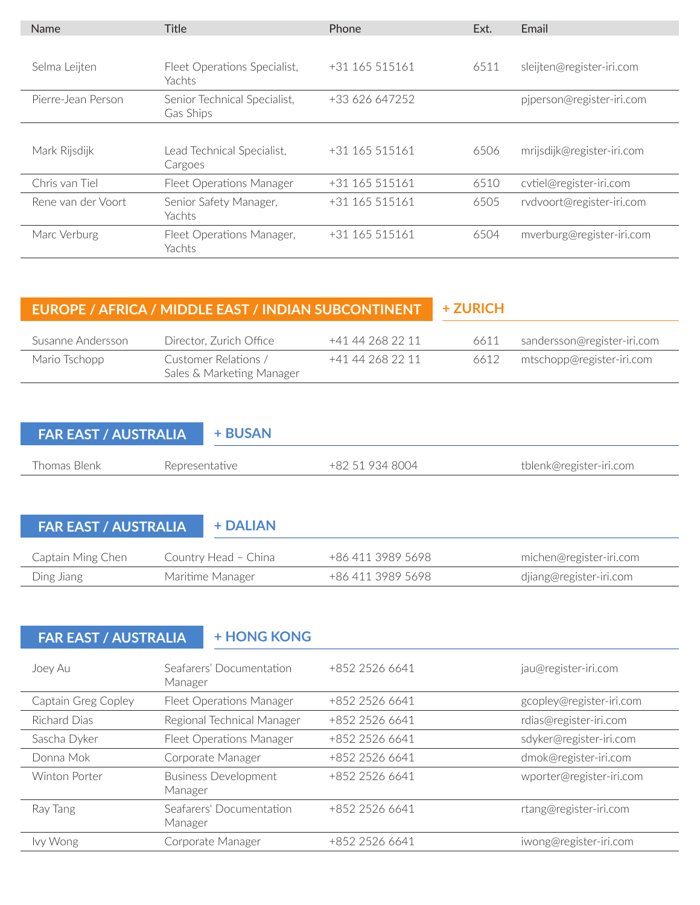| Name               | <b>Title</b>                              | Phone          | Ext. | Email                      |
|--------------------|-------------------------------------------|----------------|------|----------------------------|
|                    |                                           |                |      |                            |
| Selma Leijten      | Fleet Operations Specialist,<br>Yachts    | +31 165 515161 | 6511 | sleijten@register-iri.com  |
| Pierre-Jean Person | Senior Technical Specialist,<br>Gas Ships | +33 626 647252 |      | pjperson@register-iri.com  |
| Mark Rijsdijk      | Lead Technical Specialist,<br>Cargoes     | +31 165 515161 | 6506 | mrijsdijk@register-iri.com |
| Chris van Tiel     | Fleet Operations Manager                  | +31 165 515161 | 6510 | cvtiel@register-iri.com    |
| Rene van der Voort | Senior Safety Manager,<br>Yachts          | +31 165 515161 | 6505 | rvdvoort@register-iri.com  |
| Marc Verburg       | Fleet Operations Manager,<br>Yachts       | +31 165 515161 | 6504 | mverburg@register-iri.com  |

|                   | EUROPE / AFRICA / MIDDLE EAST / INDIAN SUBCONTINENT | + ZURICH         |      |                             |
|-------------------|-----------------------------------------------------|------------------|------|-----------------------------|
| Susanne Andersson | Director, Zurich Office                             | +41 44 268 22 11 | 6611 | sandersson@register-iri.com |
| Mario Tschopp     | Customer Relations /<br>Sales & Marketing Manager   | +41 44 268 22 11 | 6612 | mtschopp@register-iri.com   |

| <b>FAR EAST / AUSTRALIA</b> |                | + BUSAN |                 |                         |
|-----------------------------|----------------|---------|-----------------|-------------------------|
| Thomas Blenk                | Representative |         | +82 51 934 8004 | tblenk@register-iri.com |
|                             |                |         |                 |                         |

**FAR EAST / AUSTRALIA + DALIAN**

| Captain Ming Chen | Country Head – China | +86 411 3989 5698 | michen@register-iri.com |
|-------------------|----------------------|-------------------|-------------------------|
| Ding Jiang        | Maritime Manager     | +86 411 3989 5698 | djiang@register-iri.com |

# **FAR EAST / AUSTRALIA + HONG KONG**

| Joey Au             | Seafarers' Documentation<br>Manager    | +852 2526 6641 | jau@register-iri.com     |
|---------------------|----------------------------------------|----------------|--------------------------|
| Captain Greg Copley | Fleet Operations Manager               | +852 2526 6641 | gcopley@register-iri.com |
| Richard Dias        | Regional Technical Manager             | +852 2526 6641 | rdias@register-iri.com   |
| Sascha Dyker        | Fleet Operations Manager               | +852 2526 6641 | sdyker@register-iri.com  |
| Donna Mok           | Corporate Manager                      | +852 2526 6641 | dmok@register-iri.com    |
| Winton Porter       | <b>Business Development</b><br>Manager | +852 2526 6641 | wporter@register-iri.com |
| Ray Tang            | Seafarers' Documentation<br>Manager    | +852 2526 6641 | rtang@register-iri.com   |
| Ivy Wong            | Corporate Manager                      | +852 2526 6641 | iwong@register-iri.com   |